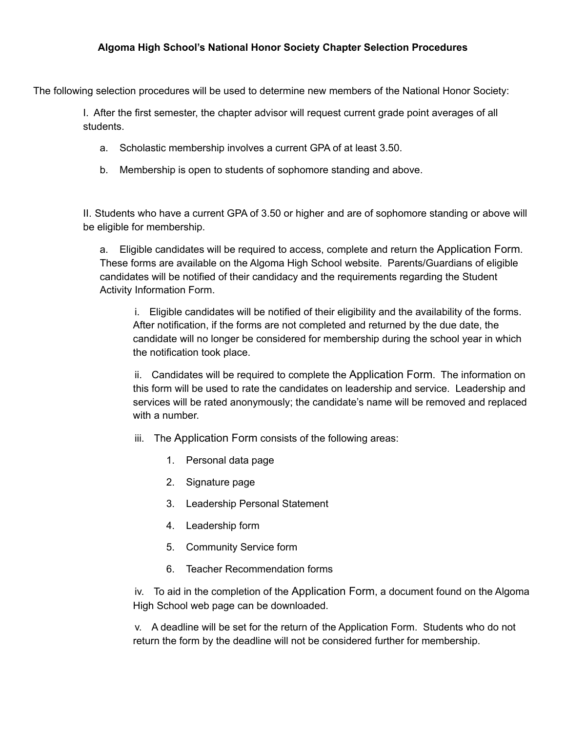## **Algoma High School's National Honor Society Chapter Selection Procedures**

The following selection procedures will be used to determine new members of the National Honor Society:

I. After the first semester, the chapter advisor will request current grade point averages of all students.

- a. Scholastic membership involves a current GPA of at least 3.50.
- b. Membership is open to students of sophomore standing and above.

II. Students who have a current GPA of 3.50 or higher and are of sophomore standing or above will be eligible for membership.

a. Eligible candidates will be required to access, complete and return the Application Form. These forms are available on the Algoma High School website. Parents/Guardians of eligible candidates will be notified of their candidacy and the requirements regarding the Student Activity Information Form.

i. Eligible candidates will be notified of their eligibility and the availability of the forms. After notification, if the forms are not completed and returned by the due date, the candidate will no longer be considered for membership during the school year in which the notification took place.

ii. Candidates will be required to complete the Application Form. The information on this form will be used to rate the candidates on leadership and service. Leadership and services will be rated anonymously; the candidate's name will be removed and replaced with a number.

- iii. The Application Form consists of the following areas:
	- 1. Personal data page
	- 2. Signature page
	- 3. Leadership Personal Statement
	- 4. Leadership form
	- 5. Community Service form
	- 6. Teacher Recommendation forms

iv. To aid in the completion of the Application Form, a document found on the Algoma High School web page can be downloaded.

v. A deadline will be set for the return of the Application Form. Students who do not return the form by the deadline will not be considered further for membership.